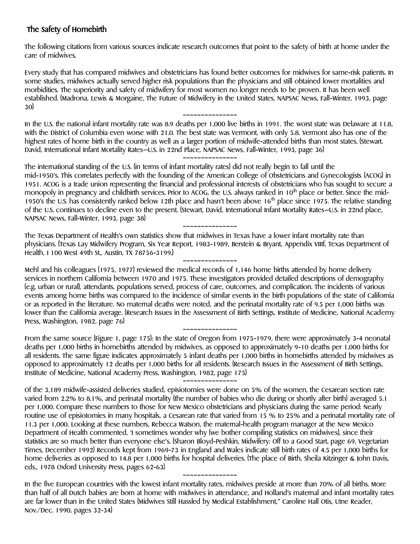# The Safety of Homebirth

The following citations from various sources indicate research outcomes that point to the safety of birth at home under the care of midwives.

Every study that has compared midwives and obstetricians has found better outcomes for midwives for same-risk patients. In some studies, midwives actually served higher risk populations than the physicians and still obtained lower mortalities and morbidities. The superiority and safety of midwifery for most women no longer needs to be proven. It has been well established. (Madrona, Lewis & Morgaine, The Future of Midwifery in the United States, NAPSAC News, Fall-Winter, 1993, page 30)

~~~~~~~~~~~~~~~ In the U.S. the national infant mortality rate was 8.9 deaths per 1,000 live births in 1991. The worst state was Delaware at 11.8, with the District of Columbia even worse with 21.0. The best state was Vermont, with only 5.8. Vermont also has one of the highest rates of home birth in the country as well as a larger portion of midwife-attended births than most states. (Stewart, David, International Infant Mortality Rates—U.S. in 22nd Place, NAPSAC News, Fall-Winter, 1993, page 36) ~~~~~~~~~~~~~~~

The international standing of the U.S. (in terms of infant mortality rates) did not really begin to fall until the mid-1950's. This correlates perfectly with the founding of the American College of Obstetricians and Gynecologists (ACOG) in 1951. ACOG is a trade union representing the financial and professional interests of obstetricians who has sought to secure a monopoly in pregnancy and childbirth services. Prior to ACOG, the U.S. always ranked in  $10<sup>th</sup>$  place or better. Since the mid-1950's the U.S. has consistently ranked below 12th place and hasn't been above 16<sup>th</sup> place since 1975. The relative standing of the U.S. continues to decline even to the present. (Stewart, David, International Infant Mortality Rates—U.S. in 22nd place, NAPSAC News, Fall-Winter, 1993, page 38)

~~~~~~~~~~~~~~~ The Texas Department of Health's own statistics show that midwives in Texas have a lower infant mortality rate than physicians. (Texas Lay Midwifery Program, Six Year Report, 1983-1989, Berstein & Bryant, Appendix VIIIf, Texas Department of Health, I 100 West 49th St., Austin, TX 78756-3199.)

~~~~~~~~~~~~~~~ Mehl and his colleagues (1975, 1977) reviewed the medical records of 1,146 home births attended by home delivery services in northern California between 1970 and 1975. These investigators provided detailed descriptions of demography (e.g. urban or rural), attendants, populations served, process of care, outcomes, and complication. The incidents of various events among home births was compared to the incidence of similar events in the birth populations of the state of California or as reported in the literature. No maternal deaths were noted, and the perinatal mortality rate of 9.5 per 1,000 births was lower than the California average. (Research Issues in the Assessment of Birth Settings, Institute of Medicine, National Academy Press, Washington, 1982, page 76)

~~~~~~~~~~~~~~~

From the same source (Figure 1, page 175): In the state of Oregon from 1975-1979, there were approximately 3-4 neonatal deaths per 1,000 births in homebirths attended by midwives, as opposed to approximately 9-10 deaths per 1,000 births for all residents. The same figure indicates approximately 5 infant deaths per 1,000 births in homebirths attended by midwives as opposed to approximately 12 deaths per 1,000 births for all residents. (Research Issues in the Assessment of Birth Settings, Institute of Medicine, National Academy Press, Washington, 1982, page 175)

~~~~~~~~~~~~~~~

Of the 3,189 midwife-assisted deliveries studied, episiotomies were done on 5% of the women, the Cesarean section rate varied from 2.2% to 8.1%, and perinatal mortality (the number of babies who die during or shortly after birth) averaged 5.1 per 1,000. Compare these numbers to those for New Mexico obstetricians and physicians during the same period: Nearly routine use of episiotomies in many hospitals, a Cesarean rate that varied from 15 % to 25% and a perinatal mortality rate of 11.3 per 1,000. Looking at these numbers, Rebecca Watson, the maternal-health program manager at the New Mexico Department of Health commented, 'I sometimes wonder why (we bother compiling statistics on midwives), since their statistics are so much better than everyone else's. (Sharon Bloyd-Peshkin, Midwifery: Off to a Good Start, page 69, Vegetarian Times, December 1992) Records kept from 1969-73 in England and Wales indicate still birth rates of 4.5 per 1,000 births for home deliveries as opposed to 14.8 per 1,000 births for hospital deliveries. (The place of Birth, sheila Kitzinger & John Davis, eds., 1978 Oxford University Press, pages 62-63)

In the five European countries with the lowest infant mortality rates, midwives preside at more than 70% of all births. More than half of all Dutch babies are born at home with midwives in attendance, and Holland's maternal and infant mortality rates are far lower than in the United States (Midwives Still Hassled by Medical Establishment," Caroline Hall Otis, Utne Reader, Nov./Dec. 1990, pages 32-34)

~~~~~~~~~~~~~~~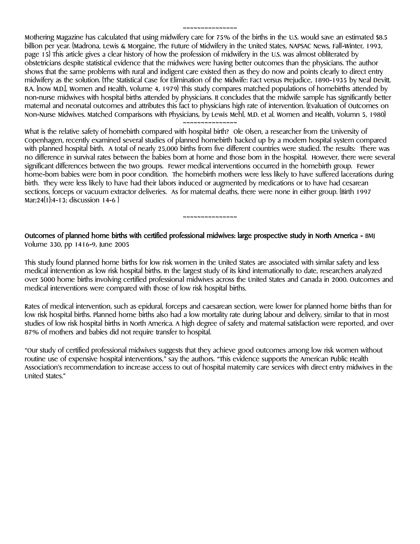Mothering Magazine has calculated that using midwifery care for 75% of the births in the U.S. would save an estimated \$8.5 billion per year. (Madrona, Lewis & Morgaine, The Future of Midwifery in the United States, NAPSAC News, Fall-Winter, 1993, page 15) This article gives a clear history of how the profession of midwifery in the U.S. was almost obliterated by obstetricians despite statistical evidence that the midwives were having better outcomes than the physicians. The author shows that the same problems with rural and indigent care existed then as they do now and points clearly to direct entry midwifery as the solution. (The Statistical Case for Elimination of the Midwife: Fact versus Prejudice, 1890-1935 by Neal Devitt, B.A. [now M.D.], Women and Health, Volume 4, 1979) This study compares matched populations of homebirths attended by non-nurse midwives with hospital births attended by physicians. It concludes that the midwife sample has significantly better maternal and neonatal outcomes and attributes this fact to physicians high rate of intervention. (Evaluation of Outcomes on Non-Nurse Midwives. Matched Comparisons with Physicians, by Lewis Mehl, M.D. et al. Women and Health, Volumn 5, 1980)

~~~~~~~~~~~~~~~

What is the relative safety of homebirth compared with hospital birth? Ole Olsen, a researcher from the University of Copenhagen, recently examined several studies of planned homebirth backed up by a modern hospital system compared with planned hospital birth. A total of nearly 25,000 births from five different countries were studied. The results: There was no difference in survival rates between the babies born at home and those born in the hospital. However, there were several significant differences between the two groups. Fewer medical interventions occurred in the homebirth group. Fewer home-born babies were born in poor condition. The homebirth mothers were less likely to have suffered lacerations during birth. They were less likely to have had their labors induced or augmented by medications or to have had cesarean sections, forceps or vacuum extractor deliveries. As for maternal deaths, there were none in either group. (Birth 1997 Mar;24(1):4-13; discussion 14-6 )

~~~~~~~~~~~~~~~

### Outcomes of planned home births with certified professional midwives: large prospective study in North America - BMJ Volume 330, pp 1416-9, June 2005

This study found planned home births for low risk women in the United States are associated with similar safety and less medical intervention as low risk hospital births. In the largest study of its kind internationally to date, researchers analyzed over 5000 home births involving certified professional midwives across the United States and Canada in 2000. Outcomes and medical interventions were compared with those of low risk hospital births.

Rates of medical intervention, such as epidural, forceps and caesarean section, were lower for planned home births than for low risk hospital births. Planned home births also had a low mortality rate during labour and delivery, similar to that in most studies of low risk hospital births in North America. A high degree of safety and maternal satisfaction were reported, and over 87% of mothers and babies did not require transfer to hospital.

"Our study of certified professional midwives suggests that they achieve good outcomes among low risk women without routine use of expensive hospital interventions," say the authors. "This evidence supports the American Public Health Association's recommendation to increase access to out of hospital maternity care services with direct entry midwives in the United States."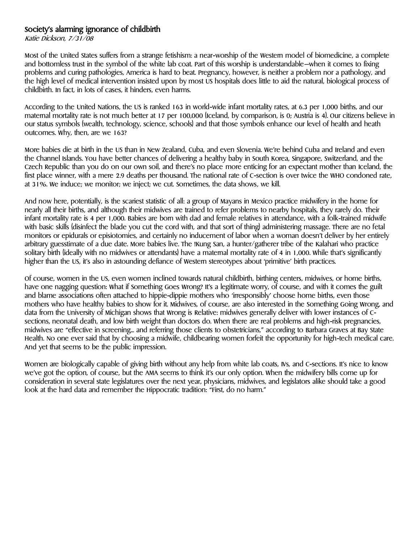### Society's alarming ignorance of childbirth

Katie Dickson, 7/31/08

Most of the United States suffers from a strange fetishism: a near-worship of the Western model of biomedicine, a complete and bottomless trust in the symbol of the white lab coat. Part of this worship is understandable—when it comes to fixing problems and curing pathologies, America is hard to beat. Pregnancy, however, is neither a problem nor a pathology, and the high level of medical intervention insisted upon by most US hospitals does little to aid the natural, biological process of childbirth. In fact, in lots of cases, it hinders, even harms.

According to the United Nations, the US is ranked 163 in world-wide infant mortality rates, at 6.3 per 1,000 births, and our maternal mortality rate is not much better at 17 per 100,000 (Iceland, by comparison, is 0; Austria is 4). Our citizens believe in our status symbols (wealth, technology, science, schools) and that those symbols enhance our level of health and heath outcomes. Why, then, are we 163?

More babies die at birth in the US than in New Zealand, Cuba, and even Slovenia. We're behind Cuba and Ireland and even the Channel Islands. You have better chances of delivering a healthy baby in South Korea, Singapore, Switzerland, and the Czech Republic than you do on our own soil, and there's no place more enticing for an expectant mother than Iceland, the first place winner, with a mere 2.9 deaths per thousand. The national rate of C-section is over twice the WHO condoned rate, at 31%. We induce; we monitor; we inject; we cut. Sometimes, the data shows, we kill.

And now here, potentially, is the scariest statistic of all: a group of Mayans in Mexico practice midwifery in the home for nearly all their births, and although their midwives are trained to refer problems to nearby hospitals, they rarely do. Their infant mortality rate is 4 per 1,000. Babies are born with dad and female relatives in attendance, with a folk-trained midwife with basic skills (disinfect the blade you cut the cord with, and that sort of thing) administering massage. There are no fetal monitors or epidurals or episiotomies, and certainly no inducement of labor when a woman doesn't deliver by her entirely arbitrary guesstimate of a due date. More babies live. The !Kung San, a hunter/gatherer tribe of the Kalahari who practice solitary birth (ideally with no midwives or attendants) have a maternal mortality rate of 4 in 1,000. While that's significantly higher than the US, it's also in astounding defiance of Western stereotypes about 'primitive' birth practices.

Of course, women in the US, even women inclined towards natural childbirth, birthing centers, midwives, or home births, have one nagging question: What if Something Goes Wrong? It's a legitimate worry, of course, and with it comes the guilt and blame associations often attached to hippie-dippie mothers who 'irresponsibly' choose home births, even those mothers who have healthy babies to show for it. Midwives, of course, are also interested in the Something Going Wrong, and data from the University of Michigan shows that Wrong is Relative: midwives generally deliver with lower instances of Csections, neonatal death, and low birth weight than doctors do. When there are real problems and high-risk pregnancies, midwives are "effective in screening... and referring those clients to obstetricians," according to Barbara Graves at Bay State Health. No one ever said that by choosing a midwife, childbearing women forfeit the opportunity for high-tech medical care. And yet that seems to be the public impression.

Women are biologically capable of giving birth without any help from white lab coats, IVs, and C-sections. It's nice to know we've got the option, of course, but the AMA seems to think it's our only option. When the midwifery bills come up for consideration in several state legislatures over the next year, physicians, midwives, and legislators alike should take a good look at the hard data and remember the Hippocratic tradition: "First, do no harm."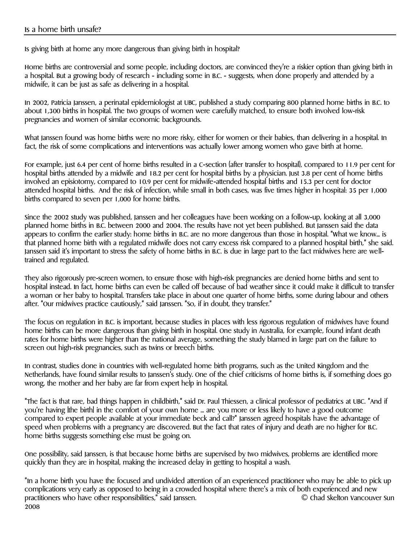Is giving birth at home any more dangerous than giving birth in hospital?

Home births are controversial and some people, including doctors, are convinced they're a riskier option than giving birth in a hospital. But a growing body of research - including some in B.C. - suggests, when done properly and attended by a midwife, it can be just as safe as delivering in a hospital.

In 2002, Patricia Janssen, a perinatal epidemiologist at UBC, published a study comparing 800 planned home births in B.C. to about 1,300 births in hospital. The two groups of women were carefully matched, to ensure both involved low-risk pregnancies and women of similar economic backgrounds.

What Janssen found was home births were no more risky, either for women or their babies, than delivering in a hospital. In fact, the risk of some complications and interventions was actually lower among women who gave birth at home.

For example, just 6.4 per cent of home births resulted in a C-section (after transfer to hospital), compared to 11.9 per cent for hospital births attended by a midwife and 18.2 per cent for hospital births by a physician. Just 3.8 per cent of home births involved an episiotomy, compared to 10.9 per cent for midwife-attended hospital births and 15.3 per cent for doctor attended hospital births. And the risk of infection, while small in both cases, was five times higher in hospital: 35 per 1,000 births compared to seven per 1,000 for home births.

Since the 2002 study was published, Janssen and her colleagues have been working on a follow-up, looking at all 3,000 planned home births in B.C. between 2000 and 2004. The results have not yet been published. But Janssen said the data appears to confirm the earlier study: home births in B.C. are no more dangerous than those in hospital. "What we know... is that planned home birth with a regulated midwife does not carry excess risk compared to a planned hospital birth," she said. Janssen said it's important to stress the safety of home births in B.C. is due in large part to the fact midwives here are welltrained and regulated.

They also rigorously pre-screen women, to ensure those with high-risk pregnancies are denied home births and sent to hospital instead. In fact, home births can even be called off because of bad weather since it could make it difficult to transfer a woman or her baby to hospital. Transfers take place in about one quarter of home births, some during labour and others after. "Our midwives practice cautiously," said Janssen. "So, if in doubt, they transfer."

The focus on regulation in B.C. is important, because studies in places with less rigorous regulation of midwives have found home births can be more dangerous than giving birth in hospital. One study in Australia, for example, found infant death rates for home births were higher than the national average, something the study blamed in large part on the failure to screen out high-risk pregnancies, such as twins or breech births.

In contrast, studies done in countries with well-regulated home birth programs, such as the United Kingdom and the Netherlands, have found similar results to Janssen's study. One of the chief criticisms of home births is, if something does go wrong, the mother and her baby are far from expert help in hospital.

"The fact is that rare, bad things happen in childbirth," said Dr. Paul Thiessen, a clinical professor of pediatrics at UBC. "And if you're having [the birth] in the comfort of your own home ... are you more or less likely to have a good outcome compared to expert people available at your immediate beck and call?" Janssen agreed hospitals have the advantage of speed when problems with a pregnancy are discovered. But the fact that rates of injury and death are no higher for B.C. home births suggests something else must be going on.

One possibility, said Janssen, is that because home births are supervised by two midwives, problems are identified more quickly than they are in hospital, making the increased delay in getting to hospital a wash.

"In a home birth you have the focused and undivided attention of an experienced practitioner who may be able to pick up complications very early as opposed to being in a crowded hospital where there's a mix of both experienced and new practitioners who have other responsibilities," said Janssen. © Chad Skelton Vancouver Sun 2008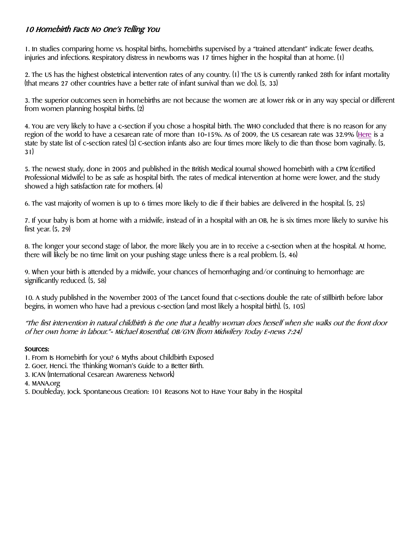# 10 Homebirth Facts No One's Telling You

1. In studies comparing home vs. hospital births, homebirths supervised by a "trained attendant" indicate fewer deaths, injuries and infections. Respiratory distress in newborns was 17 times higher in the hospital than at home. (1)

2. The US has the highest obstetrical intervention rates of any country. (1) The US is currently ranked 28th for infant mortality (that means 27 other countries have a better rate of infant survival than we do). (5, 33)

3. The superior outcomes seen in homebirths are not because the women are at lower risk or in any way special or different from women planning hospital births. (2)

4. You are very likely to have a c-section if you chose a hospital birth. The WHO concluded that there is no reason for any region of the world to have a cesarean rate of more than 10-15%. As of 2009, the US cesarean rate was 32.9% [\(Here](http://www.theunnecesarean.com/blog/2011/4/16/cesarean-rates-by-state-2009.html) is a state by state list of c-section rates) (3) C-section infants also are four times more likely to die than those born vaginally. (5, 31)

5. The newest study, done in 2005 and published in the British Medical Journal showed homebirth with a CPM (Certified Professional Midwife) to be as safe as hospital birth. The rates of medical intervention at home were lower, and the study showed a high satisfaction rate for mothers. (4)

6. The vast majority of women is up to 6 times more likely to die if their babies are delivered in the hospital. (5, 25)

7. If your baby is born at home with a midwife, instead of in a hospital with an OB, he is six times more likely to survive his first year.  $(5, 29)$ 

8. The longer your second stage of labor, the more likely you are in to receive a c-section when at the hospital. At home, there will likely be no time limit on your pushing stage unless there is a real problem. (5, 46)

9. When your birth is attended by a midwife, your chances of hemorrhaging and/or continuing to hemorrhage are significantly reduced. (5, 58)

10. A study published in the November 2003 of The Lancet found that c-sections double the rate of stillbirth before labor begins, in women who have had a previous c-section (and most likely a hospital birth). (5, 105)

"The first intervention in natural childbirth is the one that a healthy woman does herself when she walks out the front door of her own home in labour."- Michael Rosenthal, OB/GYN (from Midwifery Today E-news 7:24)

### Sources:

- 1. From Is Homebirth for you? 6 Myths about Childbirth Exposed
- 2. Goer, Henci. The Thinking Woman's Guide to a Better Birth.
- 3. ICAN (International Cesarean Awareness Network)
- 4. MANA.org

5. Doubleday, Jock. Spontaneous Creation: 101 Reasons Not to Have Your Baby in the Hospital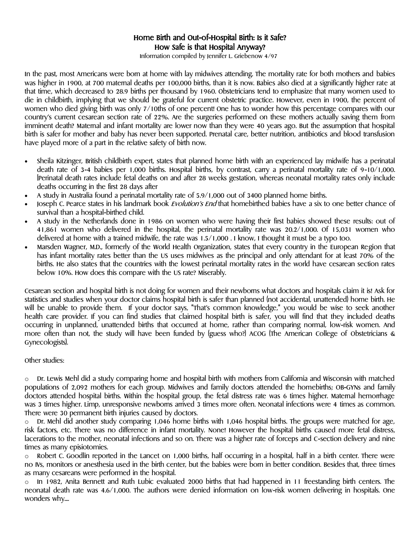### Home Birth and Out-of-Hospital Birth: Is it Safe? How Safe is that Hospital Anyway?

Information compiled by Jennifer L. Griebenow 4/97

In the past, most Americans were born at home with lay midwives attending. The mortality rate for both mothers and babies was higher in 1900, at 700 maternal deaths per 100,000 births, than it is now. Babies also died at a significantly higher rate at that time, which decreased to 28.9 births per thousand by 1960. Obstetricians tend to emphasize that many women used to die in childbirth, implying that we should be grateful for current obstetric practice. However, even in 1900, the percent of women who died giving birth was only 7/10ths of one percent! One has to wonder how this percentage compares with our country's current cesarean section rate of 22%. Are the surgeries performed on these mothers actually saving them from imminent death? Maternal and infant mortality are lower now than they were 40 years ago. But the assumption that hospital birth is safer for mother and baby has never been supported. Prenatal care, better nutrition, antibiotics and blood transfusion have played more of a part in the relative safety of birth now.

- Sheila Kitzinger, British childbirth expert, states that planned home birth with an experienced lay midwife has a perinatal death rate of 3-4 babies per 1,000 births. Hospital births, by contrast, carry a perinatal mortality rate of 9-10/1,000. [Perinatal death rates include fetal deaths on and after 28 weeks gestation, whereas neonatal mortality rates only include deaths occurring in the first 28 days after
- A study in Australia found a perinatal mortality rate of 5.9/1,000 out of 3400 planned home births.
- Joseph C. Pearce states in his landmark book Evolution's End that homebirthed babies have a six to one better chance of survival than a hospital-birthed child.
- A study in the Netherlands done in 1986 on women who were having their first babies showed these results: out of 41,861 women who delivered in the hospital, the perinatal mortality rate was 20.2/1,000. Of 15,031 women who delivered at home with a trained midwife, the rate was 1.5/1,000 . I know, I thought it must be a typo too.
- Marsden Wagner, M.D., formerly of the World Health Organization, states that every country in the European Region that has infant mortality rates better than the US uses midwives as the principal and only attendant for at least 70% of the births. He also states that the countries with the lowest perinatal mortality rates in the world have cesarean section rates below 10%. How does this compare with the US rate? Miserably.

Cesarean section and hospital birth is not doing for women and their newborns what doctors and hospitals claim it is! Ask for statistics and studies when your doctor claims hospital birth is safer than planned (not accidental, unattended) home birth. He will be unable to provide them. If your doctor says, "That's common knowledge," you would be wise to seek another health care provider. If you can find studies that claimed hospital birth is safer, you will find that they included deaths occurring in unplanned, unattended births that occurred at home, rather than comparing normal, low-risk women. And more often than not, the study will have been funded by (guess who?) ACOG (The American College of Obstetricians & Gynecologists).

#### Other studies:

 $\circ$  Dr. Lewis Mehl did a study comparing home and hospital birth with mothers from California and Wisconsin with matched populations of 2,092 mothers for each group. Midwives and family doctors attended the homebirths; OB-GYNs and family doctors attended hospital births. Within the hospital group, the fetal distress rate was 6 times higher. Maternal hemorrhage was 3 times higher. Limp, unresponsive newborns arrived 3 times more often. Neonatal infections were 4 times as common. There were 30 permanent birth injuries caused by doctors.

o Dr. Mehl did another study comparing 1,046 home births with 1,046 hospital births. The groups were matched for age, risk factors, etc. There was no difference in infant mortality. None! However the hospital births caused more fetal distress, lacerations to the mother, neonatal infections and so on. There was a higher rate of forceps and C-section delivery and nine times as many episiotomies.

o Robert C. Goodlin reported in the Lancet on 1,000 births, half occurring in a hospital, half in a birth center. There were no IVs, monitors or anesthesia used in the birth center, but the babies were born in better condition. Besides that, three times as many cesareans were performed in the hospital.

In 1982, Anita Bennett and Ruth Lubic evaluated 2000 births that had happened in 11 freestanding birth centers. The neonatal death rate was 4.6/1,000. The authors were denied information on low-risk women delivering in hospitals. One wonders why....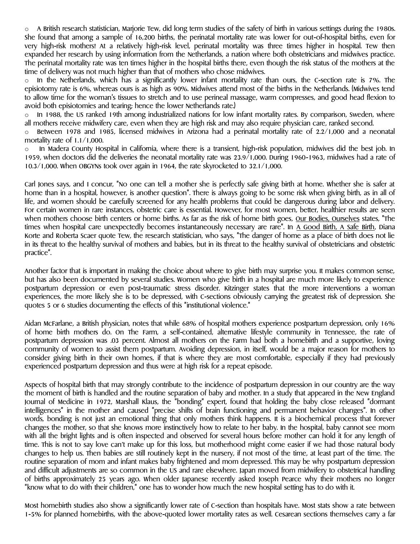$\circ$  A British research statistician, Marjorie Tew, did long term studies of the safety of birth in various settings during the 1980s. She found that among a sample of 16,200 births, the perinatal mortality rate was lower for out-of-hospital births, even for very high-risk mothers! At a relatively high-risk level, perinatal mortality was three times higher in hospital. Tew then expanded her research by using information from the Netherlands, a nation where both obstetricians and midwives practice. The perinatal mortality rate was ten times higher in the hospital births there, even though the risk status of the mothers at the time of delivery was not much higher than that of mothers who chose midwives.

 $\circ$  In the Netherlands, which has a significantly lower infant mortality rate than ours, the C-section rate is 7%. The episiotomy rate is 6%, whereas ours is as high as 90%. Midwives attend most of the births in the Netherlands. (Midwives tend to allow time for the woman's tissues to stretch and to use perineal massage, warm compresses, and good head flexion to avoid both episiotomies and tearing; hence the lower Netherlands rate.)

 $\circ$  In 1988, the US ranked 19th among industrialized nations for low infant mortality rates. By comparison, Sweden, where all mothers receive midwifery care, even when they are high risk and may also require physician care, ranked second.

o Between 1978 and 1985, licensed midwives in Arizona had a perinatal mortality rate of 2.2/1,000 and a neonatal mortality rate of 1.1/1,000.

o In Madera County Hospital in California, where there is a transient, high-risk population, midwives did the best job. In 1959, when doctors did the deliveries the neonatal mortality rate was 23.9/1,000. During 1960-1963, midwives had a rate of 10.3/1,000. When OBGYNs took over again in 1964, the rate skyrocketed to 32.1/1,000.

Carl Jones says, and I concur, "No one can tell a mother she is perfectly safe giving birth at home. Whether she is safer at home than in a hospital, however, is another question". There is always going to be some risk when giving birth, as in all of life, and women should be carefully screened for any health problems that could be dangerous during labor and delivery. For certain women in rare instances, obstetric care is essential. However, for most women, better, healthier results are seen when mothers choose birth centers or home births. As far as the risk of home birth goes, <u>Our Bodies, Ourselves</u> states, "The times when hospital care unexpectedly becomes instantaneously necessary are rare". In A Good Birth, A safe Birth, Diana Korte and Roberta Scaer quote Tew, the research statistician, who says, "The danger of home as a place of birth does not lie in its threat to the healthy survival of mothers and babies, but in its threat to the healthy survival of obstetricians and obstetric practice".

Another factor that is important in making the choice about where to give birth may surprise you. It makes common sense, but has also been documented by several studies. Women who give birth in a hospital are much more likely to experience postpartum depression or even post-traumatic stress disorder. Kitzinger states that the more interventions a woman experiences, the more likely she is to be depressed, with C-sections obviously carrying the greatest risk of depression. She quotes 5 or 6 studies documenting the effects of this "institutional violence."

Aidan McFarlane, a British physician, notes that while 68% of hospital mothers experience postpartum depression, only 16% of home birth mothers do. On The Farm, a self-contained, alternative lifestyle community in Tennessee, the rate of postpartum depression was .03 percent. Almost all mothers on the Farm had both a homebirth and a supportive, loving community of women to assist them postpartum. Avoiding depression, in itself, would be a major reason for mothers to consider giving birth in their own homes, if that is where they are most comfortable, especially if they had previously experienced postpartum depression and thus were at high risk for a repeat episode.

Aspects of hospital birth that may strongly contribute to the incidence of postpartum depression in our country are the way the moment of birth is handled and the routine separation of baby and mother. In a study that appeared in the New England Journal of Medicine in 1972, Marshall Klaus, the "bonding" expert, found that holding the baby close released "dormant intelligences" in the mother and caused "precise shifts of brain functioning and permanent behavior changes". In other words, bonding is not just an emotional thing that only mothers think happens. It is a biochemical process that forever changes the mother, so that she knows more instinctively how to relate to her baby. In the hospital, baby cannot see mom with all the bright lights and is often inspected and observed for several hours before mother can hold it for any length of time. This is not to say love can't make up for this loss, but motherhood might come easier if we had those natural body changes to help us. Then babies are still routinely kept in the nursery, if not most of the time, at least part of the time. The routine separation of mom and infant makes baby frightened and mom depressed. This may be why postpartum depression and difficult adjustments are so common in the US and rare elsewhere. Japan moved from midwifery to obstetrical handling of births approximately 25 years ago. When older Japanese recently asked Joseph Pearce why their mothers no longer "know what to do with their children," one has to wonder how much the new hospital setting has to do with it.

Most homebirth studies also show a significantly lower rate of C-section than hospitals have. Most stats show a rate between 1-5% for planned homebirths, with the above-quoted lower mortality rates as well. Cesarean sections themselves carry a far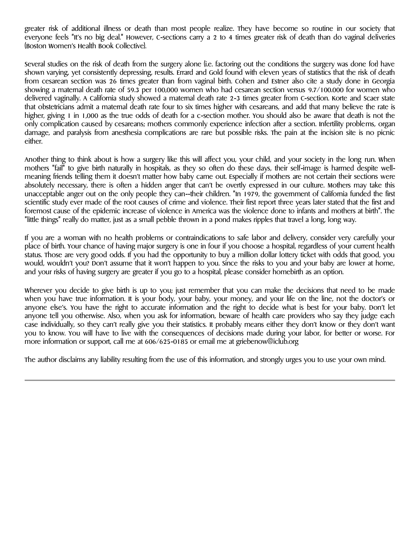greater risk of additional illness or death than most people realize. They have become so routine in our society that everyone feels "It's no big deal." However, C-sections carry a 2 to 4 times greater risk of death than do vaginal deliveries (Boston Women's Health Book Collective).

Several studies on the risk of death from the surgery alone (i.e. factoring out the conditions the surgery was done for) have shown varying, yet consistently depressing, results. Errard and Gold found with eleven years of statistics that the risk of death from cesarean section was 26 times greater than from vaginal birth. Cohen and Estner also cite a study done in Georgia showing a maternal death rate of 59.3 per 100,000 women who had cesarean section versus 9.7/100.000 for women who delivered vaginally. A California study showed a maternal death rate 2-3 times greater from C-section. Korte and Scaer state that obstetricians admit a maternal death rate four to six times higher with cesareans, and add that many believe the rate is higher, giving 1 in 1,000 as the true odds of death for a c-section mother. You should also be aware that death is not the only complication caused by cesareans; mothers commonly experience infection after a section. Infertility problems, organ damage, and paralysis from anesthesia complications are rare but possible risks. The pain at the incision site is no picnic either.

Another thing to think about is how a surgery like this will affect you, your child, and your society in the long run. When mothers "fail" to give birth naturally in hospitals, as they so often do these days, their self-image is harmed despite wellmeaning friends telling them it doesn't matter how baby came out. Especially if mothers are not certain their sections were absolutely necessary, there is often a hidden anger that can't be overtly expressed in our culture. Mothers may take this unacceptable anger out on the only people they can--their children. "In 1979, the government of California funded the first scientific study ever made of the root causes of crime and violence. Their first report three years later stated that the first and foremost cause of the epidemic increase of violence in America was the violence done to infants and mothers at birth". The "little things" really do matter, just as a small pebble thrown in a pond makes ripples that travel a long, long way.

If you are a woman with no health problems or contraindications to safe labor and delivery, consider very carefully your place of birth. Your chance of having major surgery is one in four if you choose a hospital, regardless of your current health status. Those are very good odds. If you had the opportunity to buy a million dollar lottery ticket with odds that good, you would, wouldn't you? Don't assume that it won't happen to you. Since the risks to you and your baby are lower at home, and your risks of having surgery are greater if you go to a hospital, please consider homebirth as an option.

Wherever you decide to give birth is up to you; just remember that you can make the decisions that need to be made when you have true information. It is your body, your baby, your money, and your life on the line, not the doctor's or anyone else's. You have the right to accurate information and the right to decide what is best for your baby. Don't let anyone tell you otherwise. Also, when you ask for information, beware of health care providers who say they judge each case individually, so they can't really give you their statistics. It probably means either they don't know or they don't want you to know. You will have to live with the consequences of decisions made during your labor, for better or worse. For more information or support, call me at 606/625-0185 or email me at griebenow@iclub.org

The author disclaims any liability resulting from the use of this information, and strongly urges you to use your own mind.